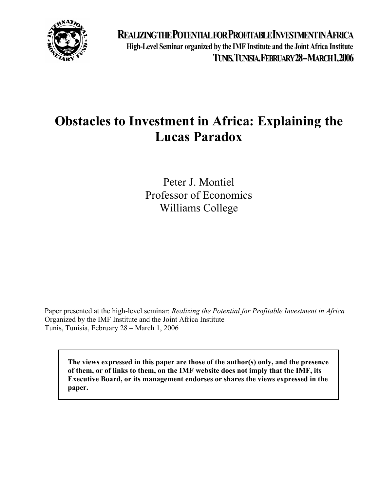

**REALIZINGTHEPOTENTIALFORPROFITABLEINVESTMENTINAFRICA High-Level Seminar organized by the IMF Institute and the Joint Africa Institute TUNIS,TUNISIA,FEBRUARY28–MARCH1,2006**

# **Obstacles to Investment in Africa: Explaining the Lucas Paradox**

Peter J. Montiel Professor of Economics Williams College

Paper presented at the high-level seminar: *Realizing the Potential for Profitable Investment in Africa* Organized by the IMF Institute and the Joint Africa Institute Tunis, Tunisia, February 28 – March 1, 2006

**The views expressed in this paper are those of the author(s) only, and the presence of them, or of links to them, on the IMF website does not imply that the IMF, its Executive Board, or its management endorses or shares the views expressed in the paper.**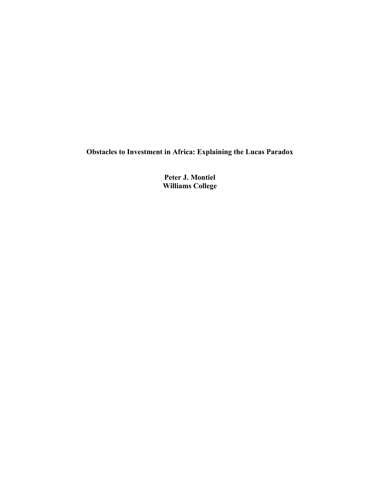**Obstacles to Investment in Africa: Explaining the Lucas Paradox** 

**Peter J. Montiel Williams College**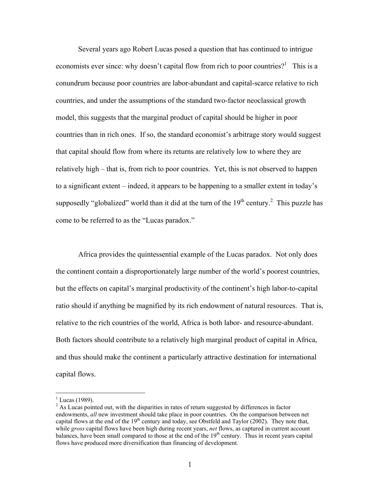Several years ago Robert Lucas posed a question that has continued to intrigue economists ever since: why doesn't capital flow from rich to poor countries?<sup>1</sup> This is a conundrum because poor countries are labor-abundant and capital-scarce relative to rich countries, and under the assumptions of the standard two-factor neoclassical growth model, this suggests that the marginal product of capital should be higher in poor countries than in rich ones. If so, the standard economist's arbitrage story would suggest that capital should flow from where its returns are relatively low to where they are relatively high – that is, from rich to poor countries. Yet, this is not observed to happen to a significant extent – indeed, it appears to be happening to a smaller extent in today's supposedly "globalized" world than it did at the turn of the  $19<sup>th</sup>$  century.<sup>2</sup> This puzzle has come to be referred to as the "Lucas paradox."

Africa provides the quintessential example of the Lucas paradox. Not only does the continent contain a disproportionately large number of the world's poorest countries, but the effects on capital's marginal productivity of the continent's high labor-to-capital ratio should if anything be magnified by its rich endowment of natural resources. That is, relative to the rich countries of the world, Africa is both labor- and resource-abundant. Both factors should contribute to a relatively high marginal product of capital in Africa, and thus should make the continent a particularly attractive destination for international capital flows.

 $\overline{a}$ 

 $1$  Lucas (1989).

 $2^{2}$  As Lucas pointed out, with the disparities in rates of return suggested by differences in factor endowments, *all* new investment should take place in poor countries. On the comparison between net capital flows at the end of the  $19<sup>th</sup>$  century and today, see Obstfeld and Taylor (2002). They note that, while *gross* capital flows have been high during recent years, *net* flows, as captured in current account balances, have been small compared to those at the end of the 19<sup>th</sup> century. Thus in recent years capital flows have produced more diversification than financing of development.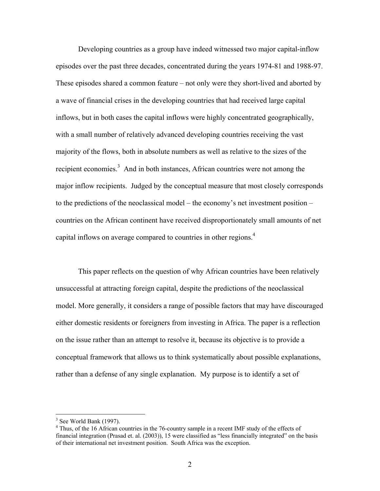Developing countries as a group have indeed witnessed two major capital-inflow episodes over the past three decades, concentrated during the years 1974-81 and 1988-97. These episodes shared a common feature – not only were they short-lived and aborted by a wave of financial crises in the developing countries that had received large capital inflows, but in both cases the capital inflows were highly concentrated geographically, with a small number of relatively advanced developing countries receiving the vast majority of the flows, both in absolute numbers as well as relative to the sizes of the recipient economies.<sup>3</sup> And in both instances, African countries were not among the major inflow recipients. Judged by the conceptual measure that most closely corresponds to the predictions of the neoclassical model – the economy's net investment position – countries on the African continent have received disproportionately small amounts of net capital inflows on average compared to countries in other regions.<sup>4</sup>

This paper reflects on the question of why African countries have been relatively unsuccessful at attracting foreign capital, despite the predictions of the neoclassical model. More generally, it considers a range of possible factors that may have discouraged either domestic residents or foreigners from investing in Africa. The paper is a reflection on the issue rather than an attempt to resolve it, because its objective is to provide a conceptual framework that allows us to think systematically about possible explanations, rather than a defense of any single explanation. My purpose is to identify a set of

 $\overline{a}$ 

 $3$  See World Bank (1997).

<sup>&</sup>lt;sup>4</sup> Thus, of the 16 African countries in the 76-country sample in a recent IMF study of the effects of financial integration (Prasad et. al. (2003)), 15 were classified as "less financially integrated" on the basis of their international net investment position. South Africa was the exception.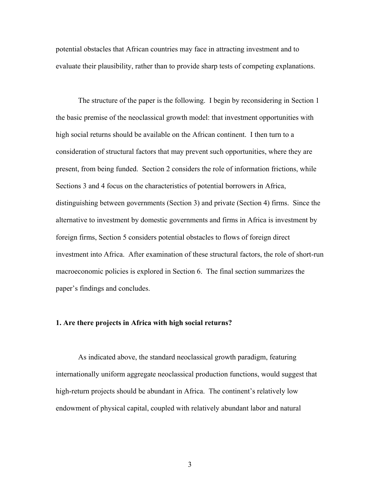potential obstacles that African countries may face in attracting investment and to evaluate their plausibility, rather than to provide sharp tests of competing explanations.

The structure of the paper is the following. I begin by reconsidering in Section 1 the basic premise of the neoclassical growth model: that investment opportunities with high social returns should be available on the African continent. I then turn to a consideration of structural factors that may prevent such opportunities, where they are present, from being funded. Section 2 considers the role of information frictions, while Sections 3 and 4 focus on the characteristics of potential borrowers in Africa, distinguishing between governments (Section 3) and private (Section 4) firms. Since the alternative to investment by domestic governments and firms in Africa is investment by foreign firms, Section 5 considers potential obstacles to flows of foreign direct investment into Africa. After examination of these structural factors, the role of short-run macroeconomic policies is explored in Section 6. The final section summarizes the paper's findings and concludes.

## **1. Are there projects in Africa with high social returns?**

 As indicated above, the standard neoclassical growth paradigm, featuring internationally uniform aggregate neoclassical production functions, would suggest that high-return projects should be abundant in Africa. The continent's relatively low endowment of physical capital, coupled with relatively abundant labor and natural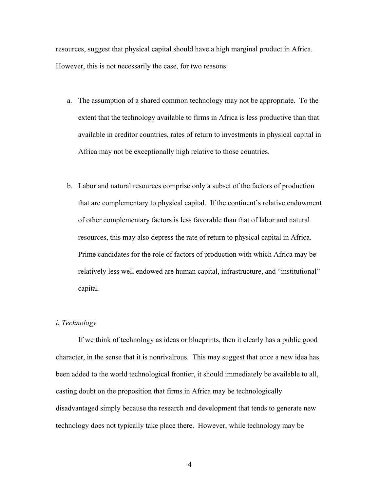resources, suggest that physical capital should have a high marginal product in Africa. However, this is not necessarily the case, for two reasons:

- a. The assumption of a shared common technology may not be appropriate. To the extent that the technology available to firms in Africa is less productive than that available in creditor countries, rates of return to investments in physical capital in Africa may not be exceptionally high relative to those countries.
- b. Labor and natural resources comprise only a subset of the factors of production that are complementary to physical capital. If the continent's relative endowment of other complementary factors is less favorable than that of labor and natural resources, this may also depress the rate of return to physical capital in Africa. Prime candidates for the role of factors of production with which Africa may be relatively less well endowed are human capital, infrastructure, and "institutional" capital.

# *i. Technology*

If we think of technology as ideas or blueprints, then it clearly has a public good character, in the sense that it is nonrivalrous. This may suggest that once a new idea has been added to the world technological frontier, it should immediately be available to all, casting doubt on the proposition that firms in Africa may be technologically disadvantaged simply because the research and development that tends to generate new technology does not typically take place there. However, while technology may be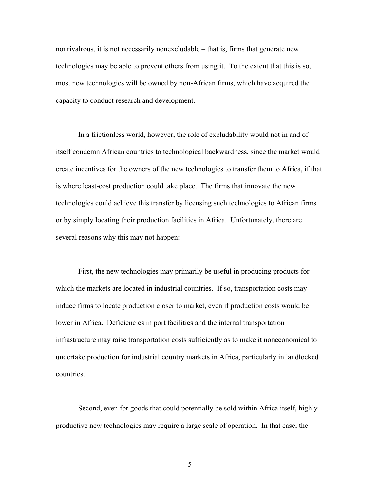nonrivalrous, it is not necessarily nonexcludable – that is, firms that generate new technologies may be able to prevent others from using it. To the extent that this is so, most new technologies will be owned by non-African firms, which have acquired the capacity to conduct research and development.

In a frictionless world, however, the role of excludability would not in and of itself condemn African countries to technological backwardness, since the market would create incentives for the owners of the new technologies to transfer them to Africa, if that is where least-cost production could take place. The firms that innovate the new technologies could achieve this transfer by licensing such technologies to African firms or by simply locating their production facilities in Africa. Unfortunately, there are several reasons why this may not happen:

First, the new technologies may primarily be useful in producing products for which the markets are located in industrial countries. If so, transportation costs may induce firms to locate production closer to market, even if production costs would be lower in Africa. Deficiencies in port facilities and the internal transportation infrastructure may raise transportation costs sufficiently as to make it noneconomical to undertake production for industrial country markets in Africa, particularly in landlocked countries.

Second, even for goods that could potentially be sold within Africa itself, highly productive new technologies may require a large scale of operation. In that case, the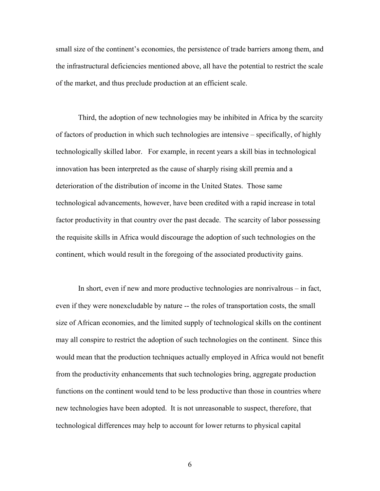small size of the continent's economies, the persistence of trade barriers among them, and the infrastructural deficiencies mentioned above, all have the potential to restrict the scale of the market, and thus preclude production at an efficient scale.

Third, the adoption of new technologies may be inhibited in Africa by the scarcity of factors of production in which such technologies are intensive – specifically, of highly technologically skilled labor. For example, in recent years a skill bias in technological innovation has been interpreted as the cause of sharply rising skill premia and a deterioration of the distribution of income in the United States. Those same technological advancements, however, have been credited with a rapid increase in total factor productivity in that country over the past decade. The scarcity of labor possessing the requisite skills in Africa would discourage the adoption of such technologies on the continent, which would result in the foregoing of the associated productivity gains.

In short, even if new and more productive technologies are nonrivalrous – in fact, even if they were nonexcludable by nature -- the roles of transportation costs, the small size of African economies, and the limited supply of technological skills on the continent may all conspire to restrict the adoption of such technologies on the continent. Since this would mean that the production techniques actually employed in Africa would not benefit from the productivity enhancements that such technologies bring, aggregate production functions on the continent would tend to be less productive than those in countries where new technologies have been adopted. It is not unreasonable to suspect, therefore, that technological differences may help to account for lower returns to physical capital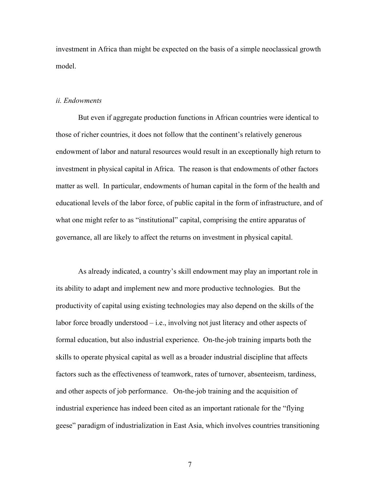investment in Africa than might be expected on the basis of a simple neoclassical growth model.

#### *ii. Endowments*

 But even if aggregate production functions in African countries were identical to those of richer countries, it does not follow that the continent's relatively generous endowment of labor and natural resources would result in an exceptionally high return to investment in physical capital in Africa. The reason is that endowments of other factors matter as well. In particular, endowments of human capital in the form of the health and educational levels of the labor force, of public capital in the form of infrastructure, and of what one might refer to as "institutional" capital, comprising the entire apparatus of governance, all are likely to affect the returns on investment in physical capital.

 As already indicated, a country's skill endowment may play an important role in its ability to adapt and implement new and more productive technologies. But the productivity of capital using existing technologies may also depend on the skills of the labor force broadly understood – i.e., involving not just literacy and other aspects of formal education, but also industrial experience. On-the-job training imparts both the skills to operate physical capital as well as a broader industrial discipline that affects factors such as the effectiveness of teamwork, rates of turnover, absenteeism, tardiness, and other aspects of job performance. On-the-job training and the acquisition of industrial experience has indeed been cited as an important rationale for the "flying geese" paradigm of industrialization in East Asia, which involves countries transitioning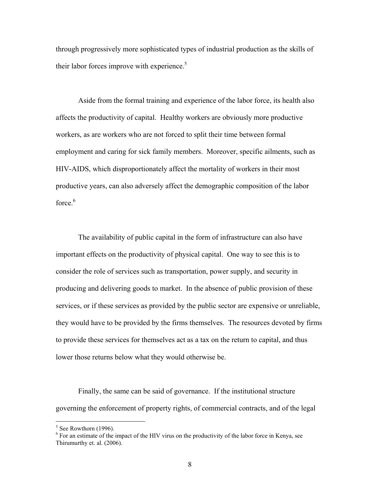through progressively more sophisticated types of industrial production as the skills of their labor forces improve with experience.<sup>5</sup>

 Aside from the formal training and experience of the labor force, its health also affects the productivity of capital. Healthy workers are obviously more productive workers, as are workers who are not forced to split their time between formal employment and caring for sick family members. Moreover, specific ailments, such as HIV-AIDS, which disproportionately affect the mortality of workers in their most productive years, can also adversely affect the demographic composition of the labor force.<sup>6</sup>

 The availability of public capital in the form of infrastructure can also have important effects on the productivity of physical capital. One way to see this is to consider the role of services such as transportation, power supply, and security in producing and delivering goods to market. In the absence of public provision of these services, or if these services as provided by the public sector are expensive or unreliable, they would have to be provided by the firms themselves. The resources devoted by firms to provide these services for themselves act as a tax on the return to capital, and thus lower those returns below what they would otherwise be.

 Finally, the same can be said of governance. If the institutional structure governing the enforcement of property rights, of commercial contracts, and of the legal

 $\overline{a}$ 

 $<sup>5</sup>$  See Rowthorn (1996).</sup>

<sup>&</sup>lt;sup>6</sup> For an estimate of the impact of the HIV virus on the productivity of the labor force in Kenya, see Thirumurthy et. al. (2006).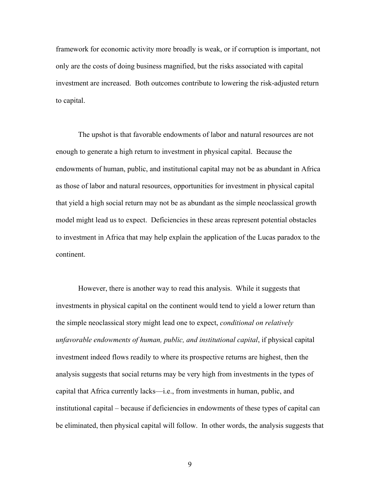framework for economic activity more broadly is weak, or if corruption is important, not only are the costs of doing business magnified, but the risks associated with capital investment are increased. Both outcomes contribute to lowering the risk-adjusted return to capital.

 The upshot is that favorable endowments of labor and natural resources are not enough to generate a high return to investment in physical capital. Because the endowments of human, public, and institutional capital may not be as abundant in Africa as those of labor and natural resources, opportunities for investment in physical capital that yield a high social return may not be as abundant as the simple neoclassical growth model might lead us to expect. Deficiencies in these areas represent potential obstacles to investment in Africa that may help explain the application of the Lucas paradox to the continent.

 However, there is another way to read this analysis. While it suggests that investments in physical capital on the continent would tend to yield a lower return than the simple neoclassical story might lead one to expect, *conditional on relatively unfavorable endowments of human, public, and institutional capital*, if physical capital investment indeed flows readily to where its prospective returns are highest, then the analysis suggests that social returns may be very high from investments in the types of capital that Africa currently lacks—i.e., from investments in human, public, and institutional capital – because if deficiencies in endowments of these types of capital can be eliminated, then physical capital will follow. In other words, the analysis suggests that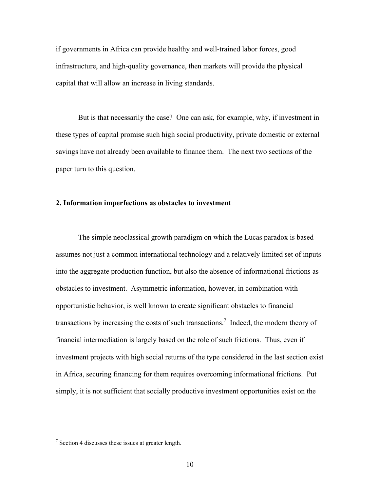if governments in Africa can provide healthy and well-trained labor forces, good infrastructure, and high-quality governance, then markets will provide the physical capital that will allow an increase in living standards.

 But is that necessarily the case? One can ask, for example, why, if investment in these types of capital promise such high social productivity, private domestic or external savings have not already been available to finance them. The next two sections of the paper turn to this question.

## **2. Information imperfections as obstacles to investment**

The simple neoclassical growth paradigm on which the Lucas paradox is based assumes not just a common international technology and a relatively limited set of inputs into the aggregate production function, but also the absence of informational frictions as obstacles to investment. Asymmetric information, however, in combination with opportunistic behavior, is well known to create significant obstacles to financial transactions by increasing the costs of such transactions.<sup>7</sup> Indeed, the modern theory of financial intermediation is largely based on the role of such frictions. Thus, even if investment projects with high social returns of the type considered in the last section exist in Africa, securing financing for them requires overcoming informational frictions. Put simply, it is not sufficient that socially productive investment opportunities exist on the

 $\overline{a}$ 

 $7$  Section 4 discusses these issues at greater length.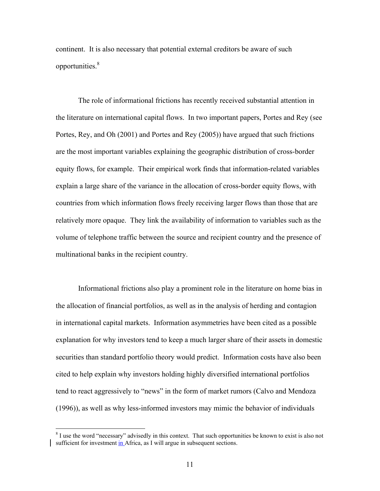continent. It is also necessary that potential external creditors be aware of such opportunities.8

The role of informational frictions has recently received substantial attention in the literature on international capital flows. In two important papers, Portes and Rey (see Portes, Rey, and Oh (2001) and Portes and Rey (2005)) have argued that such frictions are the most important variables explaining the geographic distribution of cross-border equity flows, for example. Their empirical work finds that information-related variables explain a large share of the variance in the allocation of cross-border equity flows, with countries from which information flows freely receiving larger flows than those that are relatively more opaque. They link the availability of information to variables such as the volume of telephone traffic between the source and recipient country and the presence of multinational banks in the recipient country.

Informational frictions also play a prominent role in the literature on home bias in the allocation of financial portfolios, as well as in the analysis of herding and contagion in international capital markets. Information asymmetries have been cited as a possible explanation for why investors tend to keep a much larger share of their assets in domestic securities than standard portfolio theory would predict. Information costs have also been cited to help explain why investors holding highly diversified international portfolios tend to react aggressively to "news" in the form of market rumors (Calvo and Mendoza (1996)), as well as why less-informed investors may mimic the behavior of individuals

 $\overline{a}$ 

<sup>&</sup>lt;sup>8</sup> I use the word "necessary" advisedly in this context. That such opportunities be known to exist is also not sufficient for investment in Africa, as I will argue in subsequent sections.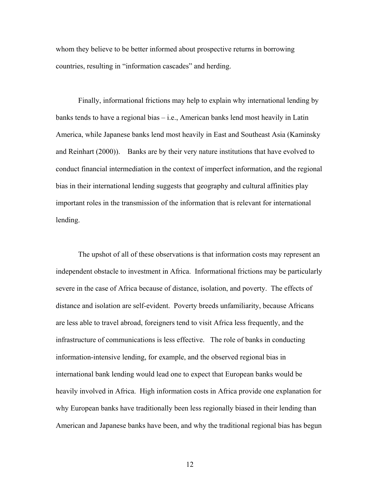whom they believe to be better informed about prospective returns in borrowing countries, resulting in "information cascades" and herding.

Finally, informational frictions may help to explain why international lending by banks tends to have a regional bias – i.e., American banks lend most heavily in Latin America, while Japanese banks lend most heavily in East and Southeast Asia (Kaminsky and Reinhart (2000)). Banks are by their very nature institutions that have evolved to conduct financial intermediation in the context of imperfect information, and the regional bias in their international lending suggests that geography and cultural affinities play important roles in the transmission of the information that is relevant for international lending.

The upshot of all of these observations is that information costs may represent an independent obstacle to investment in Africa. Informational frictions may be particularly severe in the case of Africa because of distance, isolation, and poverty. The effects of distance and isolation are self-evident. Poverty breeds unfamiliarity, because Africans are less able to travel abroad, foreigners tend to visit Africa less frequently, and the infrastructure of communications is less effective. The role of banks in conducting information-intensive lending, for example, and the observed regional bias in international bank lending would lead one to expect that European banks would be heavily involved in Africa. High information costs in Africa provide one explanation for why European banks have traditionally been less regionally biased in their lending than American and Japanese banks have been, and why the traditional regional bias has begun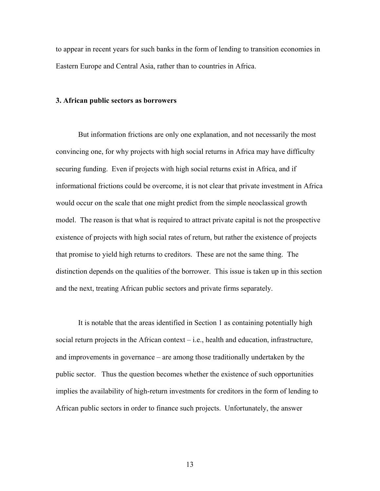to appear in recent years for such banks in the form of lending to transition economies in Eastern Europe and Central Asia, rather than to countries in Africa.

## **3. African public sectors as borrowers**

But information frictions are only one explanation, and not necessarily the most convincing one, for why projects with high social returns in Africa may have difficulty securing funding. Even if projects with high social returns exist in Africa, and if informational frictions could be overcome, it is not clear that private investment in Africa would occur on the scale that one might predict from the simple neoclassical growth model. The reason is that what is required to attract private capital is not the prospective existence of projects with high social rates of return, but rather the existence of projects that promise to yield high returns to creditors. These are not the same thing. The distinction depends on the qualities of the borrower. This issue is taken up in this section and the next, treating African public sectors and private firms separately.

It is notable that the areas identified in Section 1 as containing potentially high social return projects in the African context  $-$  i.e., health and education, infrastructure, and improvements in governance – are among those traditionally undertaken by the public sector. Thus the question becomes whether the existence of such opportunities implies the availability of high-return investments for creditors in the form of lending to African public sectors in order to finance such projects. Unfortunately, the answer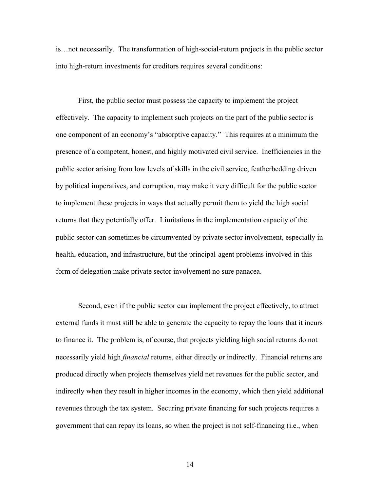is…not necessarily. The transformation of high-social-return projects in the public sector into high-return investments for creditors requires several conditions:

First, the public sector must possess the capacity to implement the project effectively. The capacity to implement such projects on the part of the public sector is one component of an economy's "absorptive capacity." This requires at a minimum the presence of a competent, honest, and highly motivated civil service. Inefficiencies in the public sector arising from low levels of skills in the civil service, featherbedding driven by political imperatives, and corruption, may make it very difficult for the public sector to implement these projects in ways that actually permit them to yield the high social returns that they potentially offer. Limitations in the implementation capacity of the public sector can sometimes be circumvented by private sector involvement, especially in health, education, and infrastructure, but the principal-agent problems involved in this form of delegation make private sector involvement no sure panacea.

Second, even if the public sector can implement the project effectively, to attract external funds it must still be able to generate the capacity to repay the loans that it incurs to finance it. The problem is, of course, that projects yielding high social returns do not necessarily yield high *financial* returns, either directly or indirectly. Financial returns are produced directly when projects themselves yield net revenues for the public sector, and indirectly when they result in higher incomes in the economy, which then yield additional revenues through the tax system. Securing private financing for such projects requires a government that can repay its loans, so when the project is not self-financing (i.e., when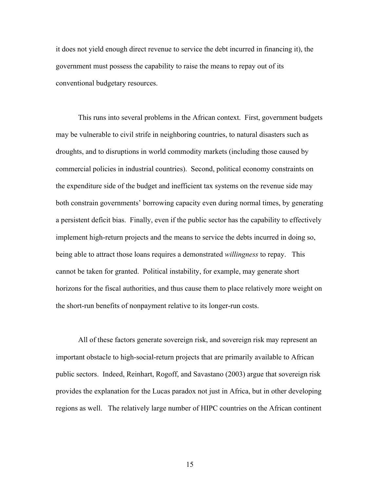it does not yield enough direct revenue to service the debt incurred in financing it), the government must possess the capability to raise the means to repay out of its conventional budgetary resources.

This runs into several problems in the African context. First, government budgets may be vulnerable to civil strife in neighboring countries, to natural disasters such as droughts, and to disruptions in world commodity markets (including those caused by commercial policies in industrial countries). Second, political economy constraints on the expenditure side of the budget and inefficient tax systems on the revenue side may both constrain governments' borrowing capacity even during normal times, by generating a persistent deficit bias. Finally, even if the public sector has the capability to effectively implement high-return projects and the means to service the debts incurred in doing so, being able to attract those loans requires a demonstrated *willingness* to repay. This cannot be taken for granted. Political instability, for example, may generate short horizons for the fiscal authorities, and thus cause them to place relatively more weight on the short-run benefits of nonpayment relative to its longer-run costs.

All of these factors generate sovereign risk, and sovereign risk may represent an important obstacle to high-social-return projects that are primarily available to African public sectors. Indeed, Reinhart, Rogoff, and Savastano (2003) argue that sovereign risk provides the explanation for the Lucas paradox not just in Africa, but in other developing regions as well. The relatively large number of HIPC countries on the African continent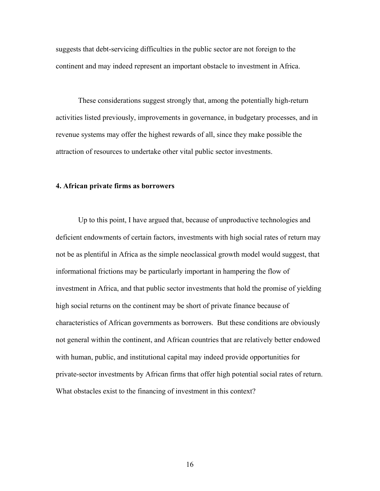suggests that debt-servicing difficulties in the public sector are not foreign to the continent and may indeed represent an important obstacle to investment in Africa.

These considerations suggest strongly that, among the potentially high-return activities listed previously, improvements in governance, in budgetary processes, and in revenue systems may offer the highest rewards of all, since they make possible the attraction of resources to undertake other vital public sector investments.

#### **4. African private firms as borrowers**

Up to this point, I have argued that, because of unproductive technologies and deficient endowments of certain factors, investments with high social rates of return may not be as plentiful in Africa as the simple neoclassical growth model would suggest, that informational frictions may be particularly important in hampering the flow of investment in Africa, and that public sector investments that hold the promise of yielding high social returns on the continent may be short of private finance because of characteristics of African governments as borrowers. But these conditions are obviously not general within the continent, and African countries that are relatively better endowed with human, public, and institutional capital may indeed provide opportunities for private-sector investments by African firms that offer high potential social rates of return. What obstacles exist to the financing of investment in this context?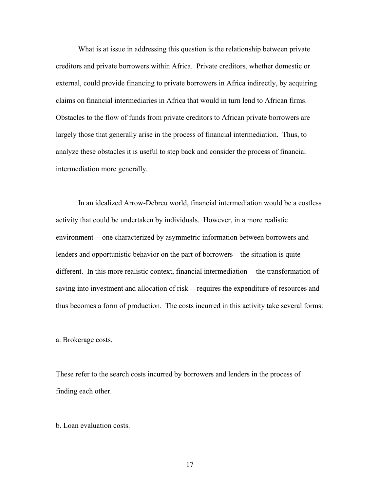What is at issue in addressing this question is the relationship between private creditors and private borrowers within Africa. Private creditors, whether domestic or external, could provide financing to private borrowers in Africa indirectly, by acquiring claims on financial intermediaries in Africa that would in turn lend to African firms. Obstacles to the flow of funds from private creditors to African private borrowers are largely those that generally arise in the process of financial intermediation. Thus, to analyze these obstacles it is useful to step back and consider the process of financial intermediation more generally.

 In an idealized Arrow-Debreu world, financial intermediation would be a costless activity that could be undertaken by individuals. However, in a more realistic environment -- one characterized by asymmetric information between borrowers and lenders and opportunistic behavior on the part of borrowers – the situation is quite different. In this more realistic context, financial intermediation -- the transformation of saving into investment and allocation of risk -- requires the expenditure of resources and thus becomes a form of production. The costs incurred in this activity take several forms:

a. Brokerage costs.

These refer to the search costs incurred by borrowers and lenders in the process of finding each other.

b. Loan evaluation costs.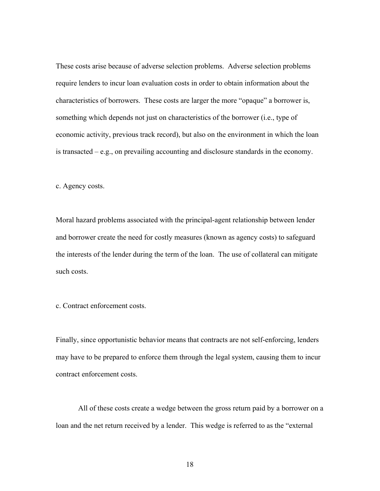These costs arise because of adverse selection problems. Adverse selection problems require lenders to incur loan evaluation costs in order to obtain information about the characteristics of borrowers. These costs are larger the more "opaque" a borrower is, something which depends not just on characteristics of the borrower (i.e., type of economic activity, previous track record), but also on the environment in which the loan is transacted  $-e.g.,$  on prevailing accounting and disclosure standards in the economy.

c. Agency costs.

Moral hazard problems associated with the principal-agent relationship between lender and borrower create the need for costly measures (known as agency costs) to safeguard the interests of the lender during the term of the loan. The use of collateral can mitigate such costs.

c. Contract enforcement costs.

Finally, since opportunistic behavior means that contracts are not self-enforcing, lenders may have to be prepared to enforce them through the legal system, causing them to incur contract enforcement costs.

All of these costs create a wedge between the gross return paid by a borrower on a loan and the net return received by a lender. This wedge is referred to as the "external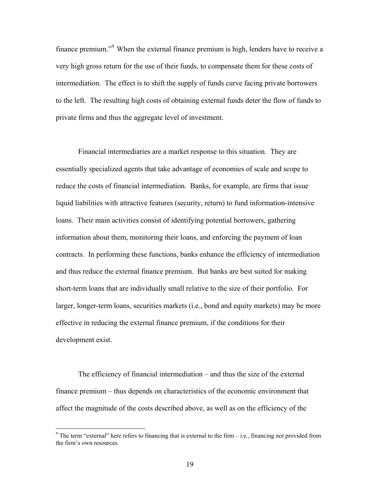finance premium."<sup>9</sup> When the external finance premium is high, lenders have to receive a very high gross return for the use of their funds, to compensate them for these costs of intermediation. The effect is to shift the supply of funds curve facing private borrowers to the left. The resulting high costs of obtaining external funds deter the flow of funds to private firms and thus the aggregate level of investment.

 Financial intermediaries are a market response to this situation. They are essentially specialized agents that take advantage of economies of scale and scope to reduce the costs of financial intermediation. Banks, for example, are firms that issue liquid liabilities with attractive features (security, return) to fund information-intensive loans. Their main activities consist of identifying potential borrowers, gathering information about them, monitoring their loans, and enforcing the payment of loan contracts. In performing these functions, banks enhance the efficiency of intermediation and thus reduce the external finance premium. But banks are best suited for making short-term loans that are individually small relative to the size of their portfolio. For larger, longer-term loans, securities markets (i.e., bond and equity markets) may be more effective in reducing the external finance premium, if the conditions for their development exist.

 The efficiency of financial intermediation – and thus the size of the external finance premium – thus depends on characteristics of the economic environment that affect the magnitude of the costs described above, as well as on the efficiency of the

 $\overline{a}$ 

<sup>&</sup>lt;sup>9</sup> The term "external" here refers to financing that is external to the firm  $-$  i.e., financing not provided from the firm's own resources.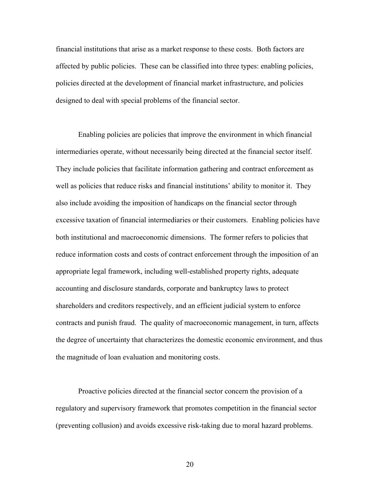financial institutions that arise as a market response to these costs. Both factors are affected by public policies. These can be classified into three types: enabling policies, policies directed at the development of financial market infrastructure, and policies designed to deal with special problems of the financial sector.

 Enabling policies are policies that improve the environment in which financial intermediaries operate, without necessarily being directed at the financial sector itself. They include policies that facilitate information gathering and contract enforcement as well as policies that reduce risks and financial institutions' ability to monitor it. They also include avoiding the imposition of handicaps on the financial sector through excessive taxation of financial intermediaries or their customers. Enabling policies have both institutional and macroeconomic dimensions. The former refers to policies that reduce information costs and costs of contract enforcement through the imposition of an appropriate legal framework, including well-established property rights, adequate accounting and disclosure standards, corporate and bankruptcy laws to protect shareholders and creditors respectively, and an efficient judicial system to enforce contracts and punish fraud. The quality of macroeconomic management, in turn, affects the degree of uncertainty that characterizes the domestic economic environment, and thus the magnitude of loan evaluation and monitoring costs.

 Proactive policies directed at the financial sector concern the provision of a regulatory and supervisory framework that promotes competition in the financial sector (preventing collusion) and avoids excessive risk-taking due to moral hazard problems.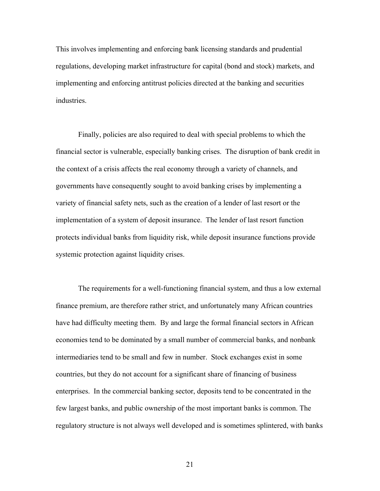This involves implementing and enforcing bank licensing standards and prudential regulations, developing market infrastructure for capital (bond and stock) markets, and implementing and enforcing antitrust policies directed at the banking and securities industries.

 Finally, policies are also required to deal with special problems to which the financial sector is vulnerable, especially banking crises. The disruption of bank credit in the context of a crisis affects the real economy through a variety of channels, and governments have consequently sought to avoid banking crises by implementing a variety of financial safety nets, such as the creation of a lender of last resort or the implementation of a system of deposit insurance. The lender of last resort function protects individual banks from liquidity risk, while deposit insurance functions provide systemic protection against liquidity crises.

 The requirements for a well-functioning financial system, and thus a low external finance premium, are therefore rather strict, and unfortunately many African countries have had difficulty meeting them. By and large the formal financial sectors in African economies tend to be dominated by a small number of commercial banks, and nonbank intermediaries tend to be small and few in number. Stock exchanges exist in some countries, but they do not account for a significant share of financing of business enterprises. In the commercial banking sector, deposits tend to be concentrated in the few largest banks, and public ownership of the most important banks is common. The regulatory structure is not always well developed and is sometimes splintered, with banks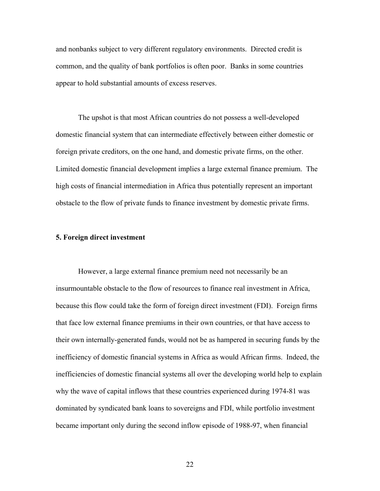and nonbanks subject to very different regulatory environments. Directed credit is common, and the quality of bank portfolios is often poor. Banks in some countries appear to hold substantial amounts of excess reserves.

The upshot is that most African countries do not possess a well-developed domestic financial system that can intermediate effectively between either domestic or foreign private creditors, on the one hand, and domestic private firms, on the other. Limited domestic financial development implies a large external finance premium. The high costs of financial intermediation in Africa thus potentially represent an important obstacle to the flow of private funds to finance investment by domestic private firms.

#### **5. Foreign direct investment**

However, a large external finance premium need not necessarily be an insurmountable obstacle to the flow of resources to finance real investment in Africa, because this flow could take the form of foreign direct investment (FDI). Foreign firms that face low external finance premiums in their own countries, or that have access to their own internally-generated funds, would not be as hampered in securing funds by the inefficiency of domestic financial systems in Africa as would African firms. Indeed, the inefficiencies of domestic financial systems all over the developing world help to explain why the wave of capital inflows that these countries experienced during 1974-81 was dominated by syndicated bank loans to sovereigns and FDI, while portfolio investment became important only during the second inflow episode of 1988-97, when financial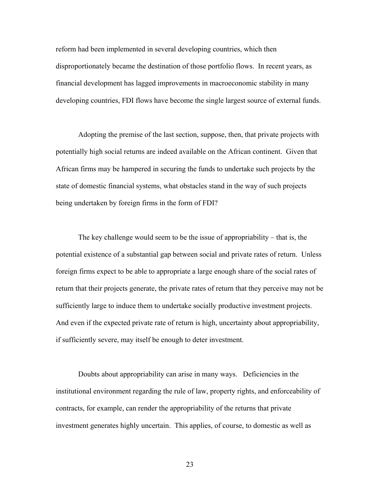reform had been implemented in several developing countries, which then disproportionately became the destination of those portfolio flows. In recent years, as financial development has lagged improvements in macroeconomic stability in many developing countries, FDI flows have become the single largest source of external funds.

Adopting the premise of the last section, suppose, then, that private projects with potentially high social returns are indeed available on the African continent. Given that African firms may be hampered in securing the funds to undertake such projects by the state of domestic financial systems, what obstacles stand in the way of such projects being undertaken by foreign firms in the form of FDI?

The key challenge would seem to be the issue of appropriability – that is, the potential existence of a substantial gap between social and private rates of return. Unless foreign firms expect to be able to appropriate a large enough share of the social rates of return that their projects generate, the private rates of return that they perceive may not be sufficiently large to induce them to undertake socially productive investment projects. And even if the expected private rate of return is high, uncertainty about appropriability, if sufficiently severe, may itself be enough to deter investment.

Doubts about appropriability can arise in many ways. Deficiencies in the institutional environment regarding the rule of law, property rights, and enforceability of contracts, for example, can render the appropriability of the returns that private investment generates highly uncertain. This applies, of course, to domestic as well as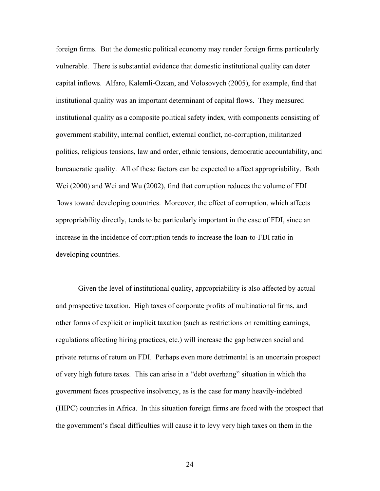foreign firms. But the domestic political economy may render foreign firms particularly vulnerable. There is substantial evidence that domestic institutional quality can deter capital inflows. Alfaro, Kalemli-Ozcan, and Volosovych (2005), for example, find that institutional quality was an important determinant of capital flows. They measured institutional quality as a composite political safety index, with components consisting of government stability, internal conflict, external conflict, no-corruption, militarized politics, religious tensions, law and order, ethnic tensions, democratic accountability, and bureaucratic quality. All of these factors can be expected to affect appropriability. Both Wei (2000) and Wei and Wu (2002), find that corruption reduces the volume of FDI flows toward developing countries. Moreover, the effect of corruption, which affects appropriability directly, tends to be particularly important in the case of FDI, since an increase in the incidence of corruption tends to increase the loan-to-FDI ratio in developing countries.

Given the level of institutional quality, appropriability is also affected by actual and prospective taxation. High taxes of corporate profits of multinational firms, and other forms of explicit or implicit taxation (such as restrictions on remitting earnings, regulations affecting hiring practices, etc.) will increase the gap between social and private returns of return on FDI. Perhaps even more detrimental is an uncertain prospect of very high future taxes. This can arise in a "debt overhang" situation in which the government faces prospective insolvency, as is the case for many heavily-indebted (HIPC) countries in Africa. In this situation foreign firms are faced with the prospect that the government's fiscal difficulties will cause it to levy very high taxes on them in the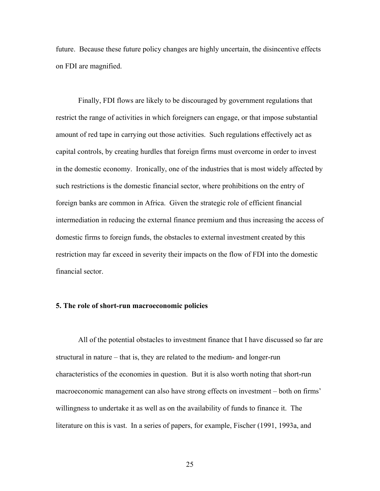future. Because these future policy changes are highly uncertain, the disincentive effects on FDI are magnified.

 Finally, FDI flows are likely to be discouraged by government regulations that restrict the range of activities in which foreigners can engage, or that impose substantial amount of red tape in carrying out those activities. Such regulations effectively act as capital controls, by creating hurdles that foreign firms must overcome in order to invest in the domestic economy. Ironically, one of the industries that is most widely affected by such restrictions is the domestic financial sector, where prohibitions on the entry of foreign banks are common in Africa. Given the strategic role of efficient financial intermediation in reducing the external finance premium and thus increasing the access of domestic firms to foreign funds, the obstacles to external investment created by this restriction may far exceed in severity their impacts on the flow of FDI into the domestic financial sector.

#### **5. The role of short-run macroeconomic policies**

All of the potential obstacles to investment finance that I have discussed so far are structural in nature – that is, they are related to the medium- and longer-run characteristics of the economies in question. But it is also worth noting that short-run macroeconomic management can also have strong effects on investment – both on firms' willingness to undertake it as well as on the availability of funds to finance it. The literature on this is vast. In a series of papers, for example, Fischer (1991, 1993a, and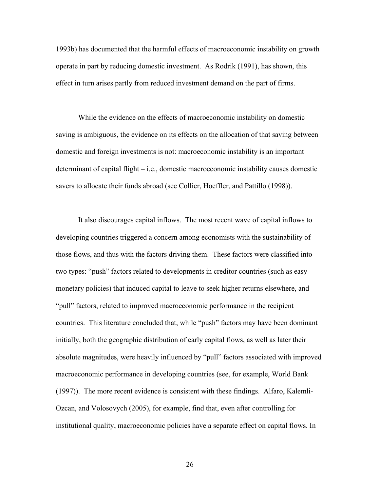1993b) has documented that the harmful effects of macroeconomic instability on growth operate in part by reducing domestic investment. As Rodrik (1991), has shown, this effect in turn arises partly from reduced investment demand on the part of firms.

While the evidence on the effects of macroeconomic instability on domestic saving is ambiguous, the evidence on its effects on the allocation of that saving between domestic and foreign investments is not: macroeconomic instability is an important determinant of capital flight – i.e., domestic macroeconomic instability causes domestic savers to allocate their funds abroad (see Collier, Hoeffler, and Pattillo (1998)).

It also discourages capital inflows. The most recent wave of capital inflows to developing countries triggered a concern among economists with the sustainability of those flows, and thus with the factors driving them. These factors were classified into two types: "push" factors related to developments in creditor countries (such as easy monetary policies) that induced capital to leave to seek higher returns elsewhere, and "pull" factors, related to improved macroeconomic performance in the recipient countries. This literature concluded that, while "push" factors may have been dominant initially, both the geographic distribution of early capital flows, as well as later their absolute magnitudes, were heavily influenced by "pull" factors associated with improved macroeconomic performance in developing countries (see, for example, World Bank (1997)). The more recent evidence is consistent with these findings. Alfaro, Kalemli-Ozcan, and Volosovych (2005), for example, find that, even after controlling for institutional quality, macroeconomic policies have a separate effect on capital flows. In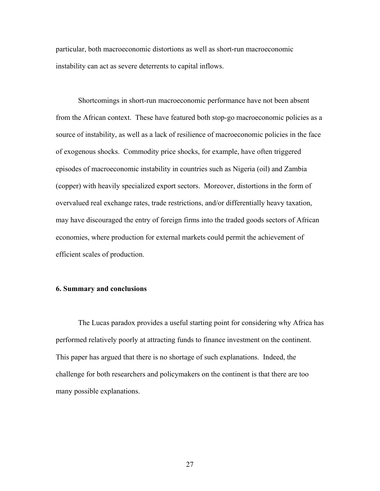particular, both macroeconomic distortions as well as short-run macroeconomic instability can act as severe deterrents to capital inflows.

Shortcomings in short-run macroeconomic performance have not been absent from the African context. These have featured both stop-go macroeconomic policies as a source of instability, as well as a lack of resilience of macroeconomic policies in the face of exogenous shocks. Commodity price shocks, for example, have often triggered episodes of macroeconomic instability in countries such as Nigeria (oil) and Zambia (copper) with heavily specialized export sectors. Moreover, distortions in the form of overvalued real exchange rates, trade restrictions, and/or differentially heavy taxation, may have discouraged the entry of foreign firms into the traded goods sectors of African economies, where production for external markets could permit the achievement of efficient scales of production.

## **6. Summary and conclusions**

 The Lucas paradox provides a useful starting point for considering why Africa has performed relatively poorly at attracting funds to finance investment on the continent. This paper has argued that there is no shortage of such explanations. Indeed, the challenge for both researchers and policymakers on the continent is that there are too many possible explanations.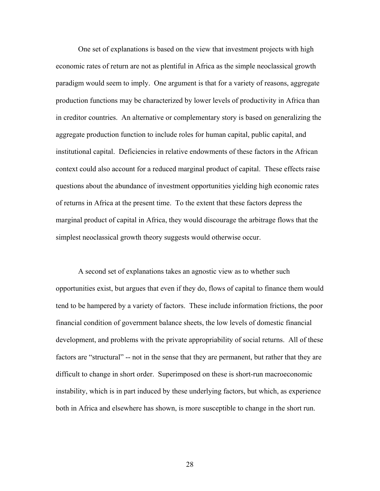One set of explanations is based on the view that investment projects with high economic rates of return are not as plentiful in Africa as the simple neoclassical growth paradigm would seem to imply. One argument is that for a variety of reasons, aggregate production functions may be characterized by lower levels of productivity in Africa than in creditor countries. An alternative or complementary story is based on generalizing the aggregate production function to include roles for human capital, public capital, and institutional capital. Deficiencies in relative endowments of these factors in the African context could also account for a reduced marginal product of capital. These effects raise questions about the abundance of investment opportunities yielding high economic rates of returns in Africa at the present time. To the extent that these factors depress the marginal product of capital in Africa, they would discourage the arbitrage flows that the simplest neoclassical growth theory suggests would otherwise occur.

 A second set of explanations takes an agnostic view as to whether such opportunities exist, but argues that even if they do, flows of capital to finance them would tend to be hampered by a variety of factors. These include information frictions, the poor financial condition of government balance sheets, the low levels of domestic financial development, and problems with the private appropriability of social returns. All of these factors are "structural" -- not in the sense that they are permanent, but rather that they are difficult to change in short order. Superimposed on these is short-run macroeconomic instability, which is in part induced by these underlying factors, but which, as experience both in Africa and elsewhere has shown, is more susceptible to change in the short run.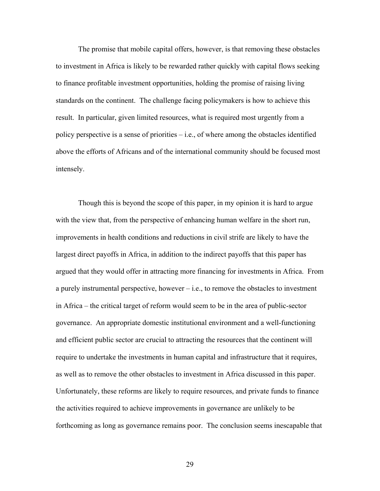The promise that mobile capital offers, however, is that removing these obstacles to investment in Africa is likely to be rewarded rather quickly with capital flows seeking to finance profitable investment opportunities, holding the promise of raising living standards on the continent. The challenge facing policymakers is how to achieve this result. In particular, given limited resources, what is required most urgently from a policy perspective is a sense of priorities – i.e., of where among the obstacles identified above the efforts of Africans and of the international community should be focused most intensely.

Though this is beyond the scope of this paper, in my opinion it is hard to argue with the view that, from the perspective of enhancing human welfare in the short run, improvements in health conditions and reductions in civil strife are likely to have the largest direct payoffs in Africa, in addition to the indirect payoffs that this paper has argued that they would offer in attracting more financing for investments in Africa. From a purely instrumental perspective, however  $-$  i.e., to remove the obstacles to investment in Africa – the critical target of reform would seem to be in the area of public-sector governance. An appropriate domestic institutional environment and a well-functioning and efficient public sector are crucial to attracting the resources that the continent will require to undertake the investments in human capital and infrastructure that it requires, as well as to remove the other obstacles to investment in Africa discussed in this paper. Unfortunately, these reforms are likely to require resources, and private funds to finance the activities required to achieve improvements in governance are unlikely to be forthcoming as long as governance remains poor. The conclusion seems inescapable that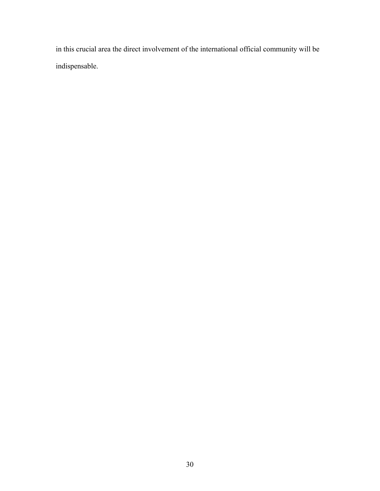in this crucial area the direct involvement of the international official community will be indispensable.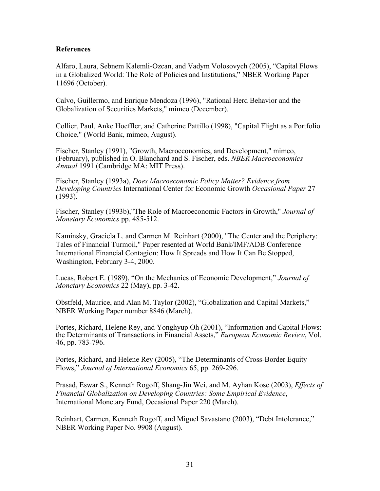# **References**

Alfaro, Laura, Sebnem Kalemli-Ozcan, and Vadym Volosovych (2005), "Capital Flows in a Globalized World: The Role of Policies and Institutions," NBER Working Paper 11696 (October).

Calvo, Guillermo, and Enrique Mendoza (1996), "Rational Herd Behavior and the Globalization of Securities Markets," mimeo (December).

Collier, Paul, Anke Hoeffler, and Catherine Pattillo (1998), "Capital Flight as a Portfolio Choice," (World Bank, mimeo, August).

Fischer, Stanley (1991), "Growth, Macroeconomics, and Development," mimeo, (February), published in O. Blanchard and S. Fischer, eds. *NBER Macroeconomics Annual* 1991 (Cambridge MA: MIT Press).

Fischer, Stanley (1993a), *Does Macroeconomic Policy Matter? Evidence from Developing Countries* International Center for Economic Growth *Occasional Paper* 27 (1993).

Fischer, Stanley (1993b),"The Role of Macroeconomic Factors in Growth," *Journal of Monetary Economics* pp. 485-512.

Kaminsky, Graciela L. and Carmen M. Reinhart (2000), "The Center and the Periphery: Tales of Financial Turmoil," Paper resented at World Bank/IMF/ADB Conference International Financial Contagion: How It Spreads and How It Can Be Stopped, Washington, February 3-4, 2000.

Lucas, Robert E. (1989), "On the Mechanics of Economic Development," *Journal of Monetary Economics* 22 (May), pp. 3-42.

Obstfeld, Maurice, and Alan M. Taylor (2002), "Globalization and Capital Markets," NBER Working Paper number 8846 (March).

Portes, Richard, Helene Rey, and Yonghyup Oh (2001), "Information and Capital Flows: the Determinants of Transactions in Financial Assets," *European Economic Review*, Vol. 46, pp. 783-796.

Portes, Richard, and Helene Rey (2005), "The Determinants of Cross-Border Equity Flows," *Journal of International Economics* 65, pp. 269-296.

Prasad, Eswar S., Kenneth Rogoff, Shang-Jin Wei, and M. Ayhan Kose (2003), *Effects of Financial Globalization on Developing Countries: Some Empirical Evidence*, International Monetary Fund, Occasional Paper 220 (March).

Reinhart, Carmen, Kenneth Rogoff, and Miguel Savastano (2003), "Debt Intolerance," NBER Working Paper No. 9908 (August).